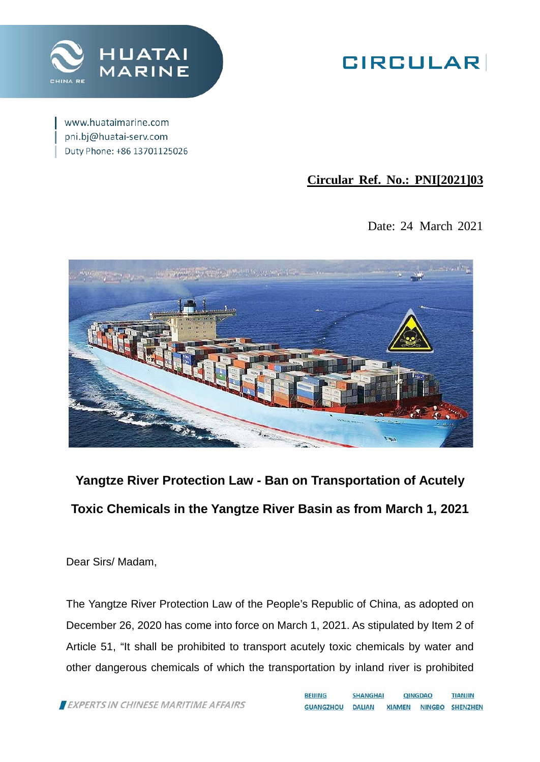

# **GIRCULAR**

www.huataimarine.com pni.bj@huatai-serv.com Duty Phone: +86 13701125026

# **Circular Ref. No.: PNI[2021]03**

Date: 24 March 2021



**Yangtze River Protection Law - Ban on Transportation of Acutely Toxic Chemicals in the Yangtze River Basin as from March 1, 2021**

Dear Sirs/ Madam,

The Yangtze River Protection Law of the People's Republic of China, as adopted on December 26, 2020 has come into force on March 1, 2021. As stipulated by Item 2 of Article 51, "It shall be prohibited to transport acutely toxic chemicals by water and other dangerous chemicals of which the transportation by inland river is prohibited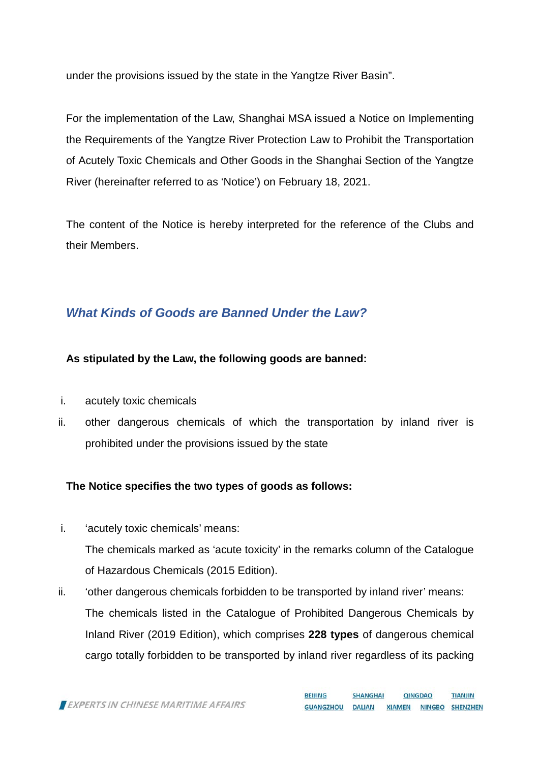under the provisions issued by the state in the Yangtze River Basin".

For the implementation of the Law, Shanghai MSA issued a Notice on Implementing the Requirements of the Yangtze River Protection Law to Prohibit the Transportation of Acutely Toxic Chemicals and Other Goods in the Shanghai Section of the Yangtze River (hereinafter referred to as 'Notice') on February 18, 2021.

The content of the Notice is hereby interpreted for the reference of the Clubs and their Members.

# *What Kinds of Goods are Banned Under the Law?*

### **As stipulated by the Law, the following goods are banned:**

- i. acutely toxic chemicals
- ii. other dangerous chemicals of which the transportation by inland river is prohibited under the provisions issued by the state

## **The Notice specifies the two types of goods as follows:**

- i. 'acutely toxic chemicals' means: The chemicals marked as 'acute toxicity' in the remarks column of the Catalogue of Hazardous Chemicals (2015 Edition).
- ii. 'other dangerous chemicals forbidden to be transported by inland river' means: The chemicals listed in the Catalogue of Prohibited Dangerous Chemicals by Inland River (2019 Edition), which comprises **228 types** of dangerous chemical cargo totally forbidden to be transported by inland river regardless of its packing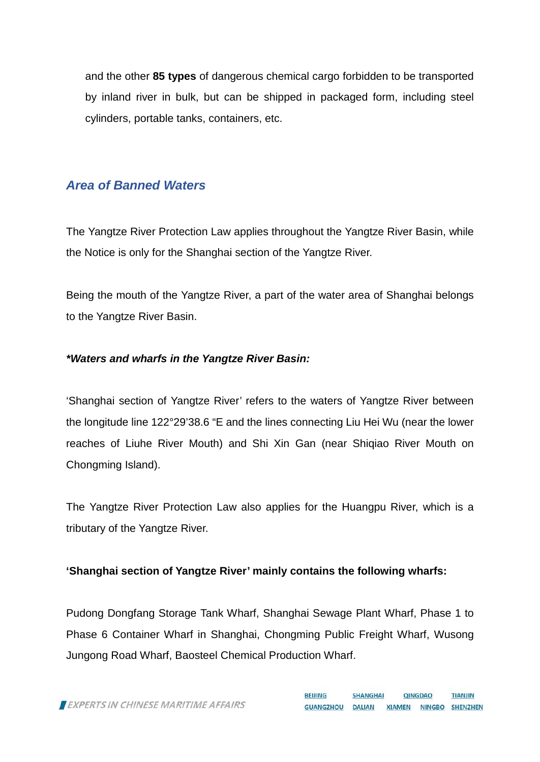and the other **85 types** of dangerous chemical cargo forbidden to be transported by inland river in bulk, but can be shipped in packaged form, including steel cylinders, portable tanks, containers, etc.

## *Area of Banned Waters*

The Yangtze River Protection Law applies throughout the Yangtze River Basin, while the Notice is only for the Shanghai section of the Yangtze River.

Being the mouth of the Yangtze River, a part of the water area of Shanghai belongs to the Yangtze River Basin.

#### *\*Waters and wharfs in the Yangtze River Basin:*

'Shanghai section of Yangtze River' refers to the waters of Yangtze River between the longitude line 122°29'38.6 "E and the lines connecting Liu Hei Wu (near the lower reaches of Liuhe River Mouth) and Shi Xin Gan (near Shiqiao River Mouth on Chongming Island).

The Yangtze River Protection Law also applies for the Huangpu River, which is a tributary of the Yangtze River.

#### **'Shanghai section of Yangtze River' mainly contains the following wharfs:**

Pudong Dongfang Storage Tank Wharf, Shanghai Sewage Plant Wharf, Phase 1 to Phase 6 Container Wharf in Shanghai, Chongming Public Freight Wharf, Wusong Jungong Road Wharf, Baosteel Chemical Production Wharf.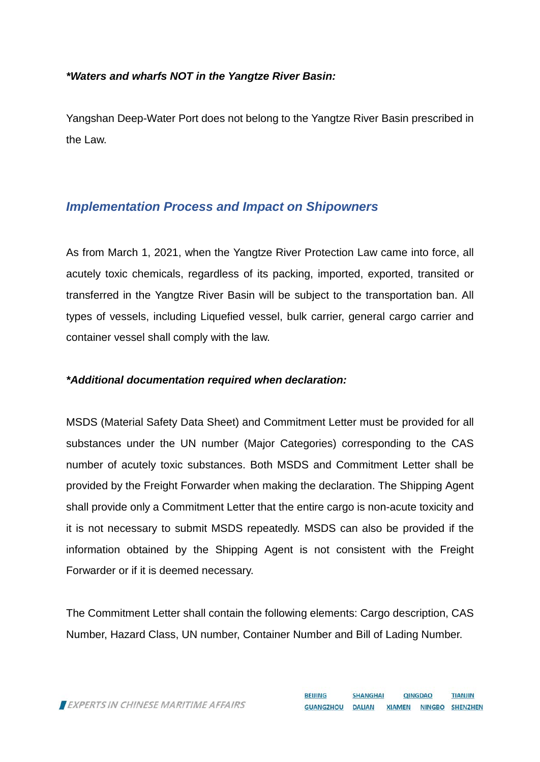#### *\*Waters and wharfs NOT in the Yangtze River Basin:*

Yangshan Deep-Water Port does not belong to the Yangtze River Basin prescribed in the Law.

### *Implementation Process and Impact on Shipowners*

As from March 1, 2021, when the Yangtze River Protection Law came into force, all acutely toxic chemicals, regardless of its packing, imported, exported, transited or transferred in the Yangtze River Basin will be subject to the transportation ban. All types of vessels, including Liquefied vessel, bulk carrier, general cargo carrier and container vessel shall comply with the law.

#### *\*Additional documentation required when declaration:*

MSDS (Material Safety Data Sheet) and Commitment Letter must be provided for all substances under the UN number (Major Categories) corresponding to the CAS number of acutely toxic substances. Both MSDS and Commitment Letter shall be provided by the Freight Forwarder when making the declaration. The Shipping Agent shall provide only a Commitment Letter that the entire cargo is non-acute toxicity and it is not necessary to submit MSDS repeatedly. MSDS can also be provided if the information obtained by the Shipping Agent is not consistent with the Freight Forwarder or if it is deemed necessary.

The Commitment Letter shall contain the following elements: Cargo description, CAS Number, Hazard Class, UN number, Container Number and Bill of Lading Number.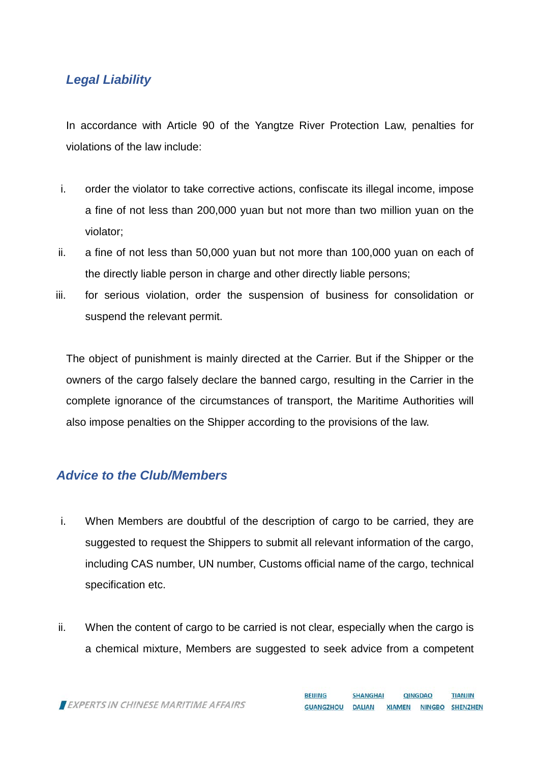# *Legal Liability*

In accordance with Article 90 of the Yangtze River Protection Law, penalties for violations of the law include:

- i. order the violator to take corrective actions, confiscate its illegal income, impose a fine of not less than 200,000 yuan but not more than two million yuan on the violator;
- ii. a fine of not less than 50,000 yuan but not more than 100,000 yuan on each of the directly liable person in charge and other directly liable persons;
- iii. for serious violation, order the suspension of business for consolidation or suspend the relevant permit.

The object of punishment is mainly directed at the Carrier. But if the Shipper or the owners of the cargo falsely declare the banned cargo, resulting in the Carrier in the complete ignorance of the circumstances of transport, the Maritime Authorities will also impose penalties on the Shipper according to the provisions of the law.

### *Advice to the Club/Members*

- i. When Members are doubtful of the description of cargo to be carried, they are suggested to request the Shippers to submit all relevant information of the cargo, including CAS number, UN number, Customs official name of the cargo, technical specification etc.
- ii. When the content of cargo to be carried is not clear, especially when the cargo is a chemical mixture, Members are suggested to seek advice from a competent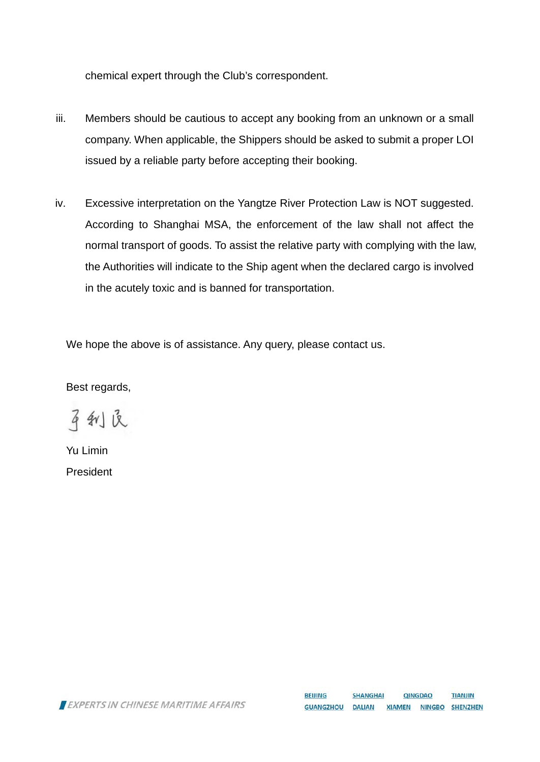chemical expert through the Club's correspondent.

- iii. Members should be cautious to accept any booking from an unknown or a small company. When applicable, the Shippers should be asked to submit a proper LOI issued by a reliable party before accepting their booking.
- iv. Excessive interpretation on the Yangtze River Protection Law is NOT suggested. According to Shanghai MSA, the enforcement of the law shall not affect the normal transport of goods. To assist the relative party with complying with the law, the Authorities will indicate to the Ship agent when the declared cargo is involved in the acutely toxic and is banned for transportation.

We hope the above is of assistance. Any query, please contact us.

Best regards,

平利良

Yu Limin President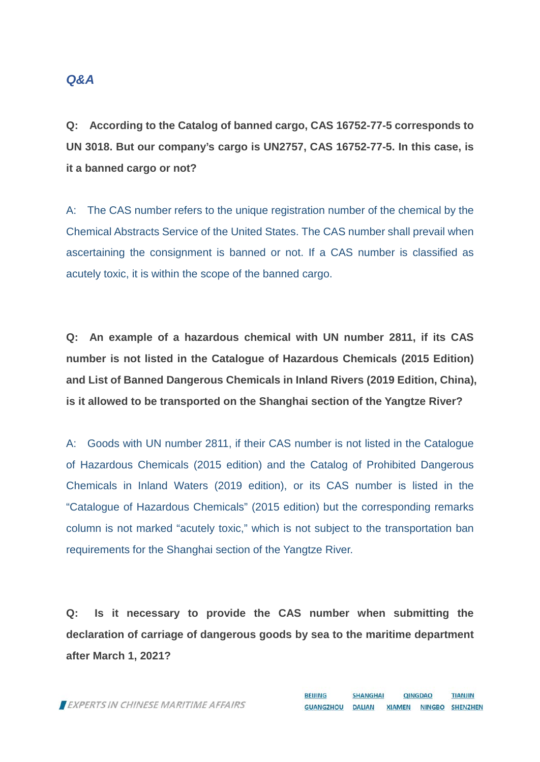#### *Q&A*

**Q: According to the Catalog of banned cargo, CAS 16752-77-5 corresponds to UN 3018. But our company's cargo is UN2757, CAS 16752-77-5. In this case, is it a banned cargo or not?**

A: The CAS number refers to the unique registration number of the chemical by the Chemical Abstracts Service of the United States. The CAS number shall prevail when ascertaining the consignment is banned or not. If a CAS number is classified as acutely toxic, it is within the scope of the banned cargo.

**Q: An example of a hazardous chemical with UN number 2811, if its CAS number is not listed in the Catalogue of Hazardous Chemicals (2015 Edition) and List of Banned Dangerous Chemicals in Inland Rivers (2019 Edition, China), is it allowed to be transported on the Shanghai section of the Yangtze River?**

A: Goods with UN number 2811, if their CAS number is not listed in the Catalogue of Hazardous Chemicals (2015 edition) and the Catalog of Prohibited Dangerous Chemicals in Inland Waters (2019 edition), or its CAS number is listed in the "Catalogue of Hazardous Chemicals" (2015 edition) but the corresponding remarks column is not marked "acutely toxic," which is not subject to the transportation ban requirements for the Shanghai section of the Yangtze River.

**Q: Is it necessary to provide the CAS number when submitting the declaration of carriage of dangerous goods by sea to the maritime department after March 1, 2021?**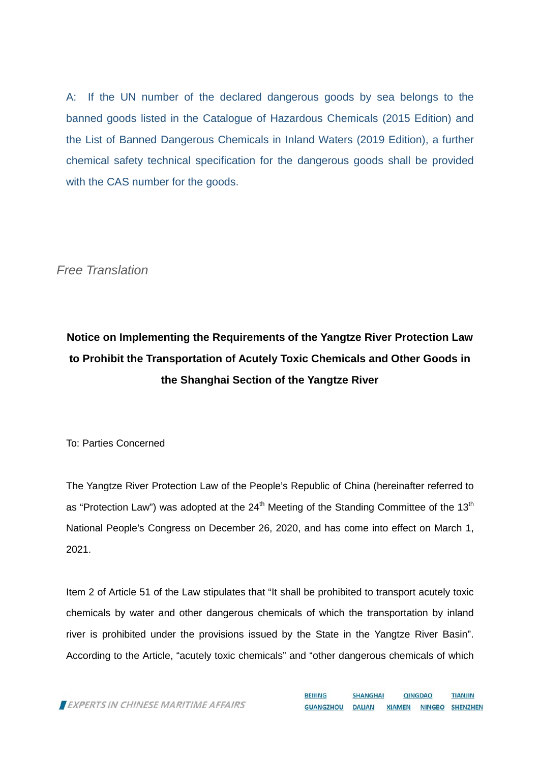A: If the UN number of the declared dangerous goods by sea belongs to the banned goods listed in the Catalogue of Hazardous Chemicals (2015 Edition) and the List of Banned Dangerous Chemicals in Inland Waters (2019 Edition), a further chemical safety technical specification for the dangerous goods shall be provided with the CAS number for the goods.

*Free Translation*

# **Notice on Implementing the Requirements of the Yangtze River Protection Law to Prohibit the Transportation of Acutely Toxic Chemicals and Other Goods in the Shanghai Section of the Yangtze River**

To: Parties Concerned

The Yangtze River Protection Law of the People's Republic of China (hereinafter referred to as "Protection Law") was adopted at the  $24<sup>th</sup>$  Meeting of the Standing Committee of the 13<sup>th</sup> National People's Congress on December 26, 2020, and has come into effect on March 1, 2021.

Item 2 of Article 51 of the Law stipulates that "It shall be prohibited to transport acutely toxic chemicals by water and other dangerous chemicals of which the transportation by inland river is prohibited under the provisions issued by the State in the Yangtze River Basin". According to the Article, "acutely toxic chemicals" and "other dangerous chemicals of which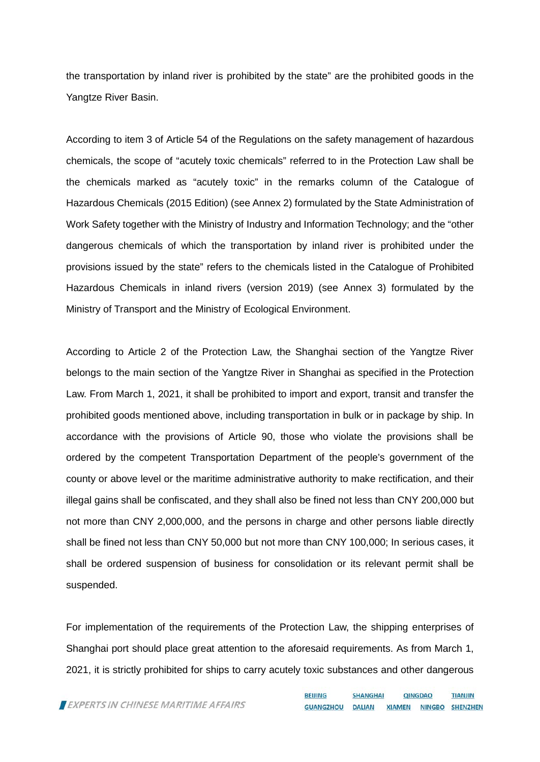the transportation by inland river is prohibited by the state" are the prohibited goods in the Yangtze River Basin.

According to item 3 of Article 54 of the Regulations on the safety management of hazardous chemicals, the scope of "acutely toxic chemicals" referred to in the Protection Law shall be the chemicals marked as "acutely toxic" in the remarks column of the Catalogue of Hazardous Chemicals (2015 Edition) (see Annex 2) formulated by the State Administration of Work Safety together with the Ministry of Industry and Information Technology; and the "other dangerous chemicals of which the transportation by inland river is prohibited under the provisions issued by the state" refers to the chemicals listed in the Catalogue of Prohibited Hazardous Chemicals in inland rivers (version 2019) (see Annex 3) formulated by the Ministry of Transport and the Ministry of Ecological Environment.

According to Article 2 of the Protection Law, the Shanghai section of the Yangtze River belongs to the main section of the Yangtze River in Shanghai as specified in the Protection Law. From March 1, 2021, it shall be prohibited to import and export, transit and transfer the prohibited goods mentioned above, including transportation in bulk or in package by ship. In accordance with the provisions of Article 90, those who violate the provisions shall be ordered by the competent Transportation Department of the people's government of the county or above level or the maritime administrative authority to make rectification, and their illegal gains shall be confiscated, and they shall also be fined not less than CNY 200,000 but not more than CNY 2,000,000, and the persons in charge and other persons liable directly shall be fined not less than CNY 50,000 but not more than CNY 100,000; In serious cases, it shall be ordered suspension of business for consolidation or its relevant permit shall be suspended.

For implementation of the requirements of the Protection Law, the shipping enterprises of Shanghai port should place great attention to the aforesaid requirements. As from March 1, 2021, it is strictly prohibited for ships to carry acutely toxic substances and other dangerous